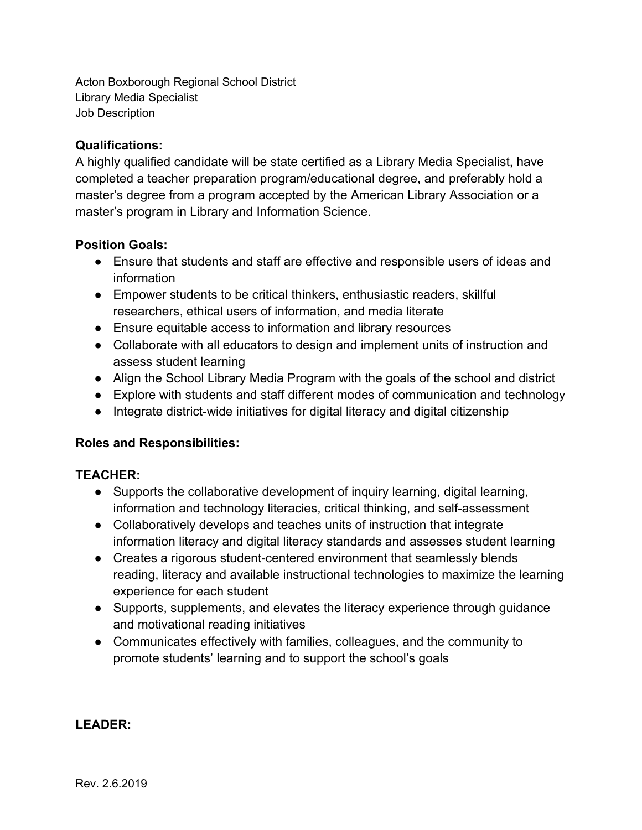Acton Boxborough Regional School District Library Media Specialist Job Description

### **Qualifications:**

A highly qualified candidate will be state certified as a Library Media Specialist, have completed a teacher preparation program/educational degree, and preferably hold a master's degree from a program accepted by the American Library Association or a master's program in Library and Information Science.

### **Position Goals:**

- Ensure that students and staff are effective and responsible users of ideas and information
- Empower students to be critical thinkers, enthusiastic readers, skillful researchers, ethical users of information, and media literate
- Ensure equitable access to information and library resources
- Collaborate with all educators to design and implement units of instruction and assess student learning
- Align the School Library Media Program with the goals of the school and district
- Explore with students and staff different modes of communication and technology
- Integrate district-wide initiatives for digital literacy and digital citizenship

# **Roles and Responsibilities:**

# **TEACHER:**

- Supports the collaborative development of inquiry learning, digital learning, information and technology literacies, critical thinking, and self-assessment
- Collaboratively develops and teaches units of instruction that integrate information literacy and digital literacy standards and assesses student learning
- Creates a rigorous student-centered environment that seamlessly blends reading, literacy and available instructional technologies to maximize the learning experience for each student
- Supports, supplements, and elevates the literacy experience through guidance and motivational reading initiatives
- Communicates effectively with families, colleagues, and the community to promote students' learning and to support the school's goals

# **LEADER:**